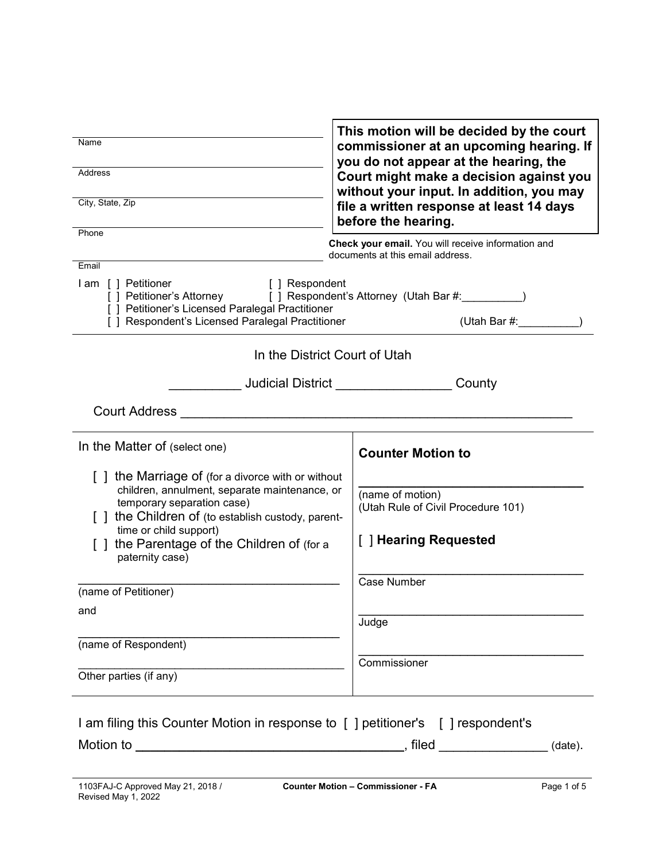| Name<br><b>Address</b><br>City, State, Zip                                                                                                                                                                                                                                                                                                                            | This motion will be decided by the court<br>commissioner at an upcoming hearing. If<br>you do not appear at the hearing, the<br>Court might make a decision against you<br>without your input. In addition, you may<br>file a written response at least 14 days<br>before the hearing. |  |
|-----------------------------------------------------------------------------------------------------------------------------------------------------------------------------------------------------------------------------------------------------------------------------------------------------------------------------------------------------------------------|----------------------------------------------------------------------------------------------------------------------------------------------------------------------------------------------------------------------------------------------------------------------------------------|--|
| Phone<br>Email<br>I am [ ] Petitioner<br><b>Example 1</b> Prespondent<br>[ ] Petitioner's Attorney [ ] Respondent's Attorney (Utah Bar #: \, \, \, \, \, \, \, \, \, \, \, \,<br>[ ] Petitioner's Licensed Paralegal Practitioner<br>[] Respondent's Licensed Paralegal Practitioner                                                                                  | Check your email. You will receive information and<br>documents at this email address.<br>(Utah Bar #: __________                                                                                                                                                                      |  |
| In the District Court of Utah                                                                                                                                                                                                                                                                                                                                         | Judicial District __________________County                                                                                                                                                                                                                                             |  |
| In the Matter of (select one)<br>[] the Marriage of (for a divorce with or without<br>children, annulment, separate maintenance, or<br>temporary separation case)<br>the Children of (to establish custody, parent-<br>time or child support)<br>[] the Parentage of the Children of (for a<br>paternity case)<br>(name of Petitioner)<br>and<br>(name of Respondent) | <b>Counter Motion to</b><br>(name of motion)<br>(Utah Rule of Civil Procedure 101)<br>[ ] Hearing Requested<br>Case Number<br>Judge                                                                                                                                                    |  |
| Other parties (if any)                                                                                                                                                                                                                                                                                                                                                | Commissioner                                                                                                                                                                                                                                                                           |  |
| I am filing this Counter Motion in response to [] petitioner's [] respondent's                                                                                                                                                                                                                                                                                        |                                                                                                                                                                                                                                                                                        |  |

 $\Gamma$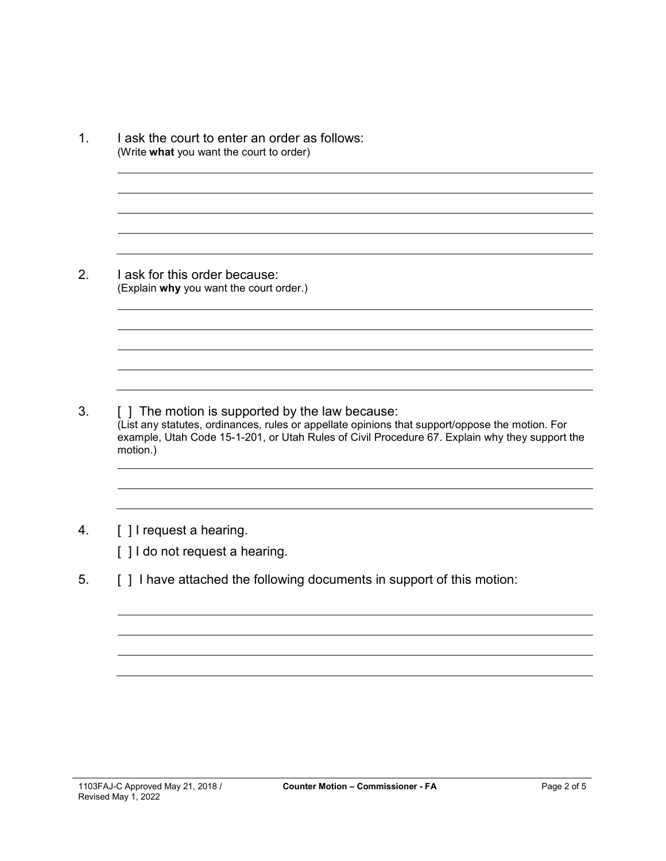1. I ask the court to enter an order as follows: (Write **what** you want the court to order) 2. I ask for this order because: (Explain **why** you want the court order.) 3. [ ] The motion is supported by the law because: (List any statutes, ordinances, rules or appellate opinions that support/oppose the motion. For example, Utah Code 15-1-201, or Utah Rules of Civil Procedure 67. Explain why they support the motion.)

# 4. [ ] I request a hearing.

[] I do not request a hearing.

5. [ ] I have attached the following documents in support of this motion: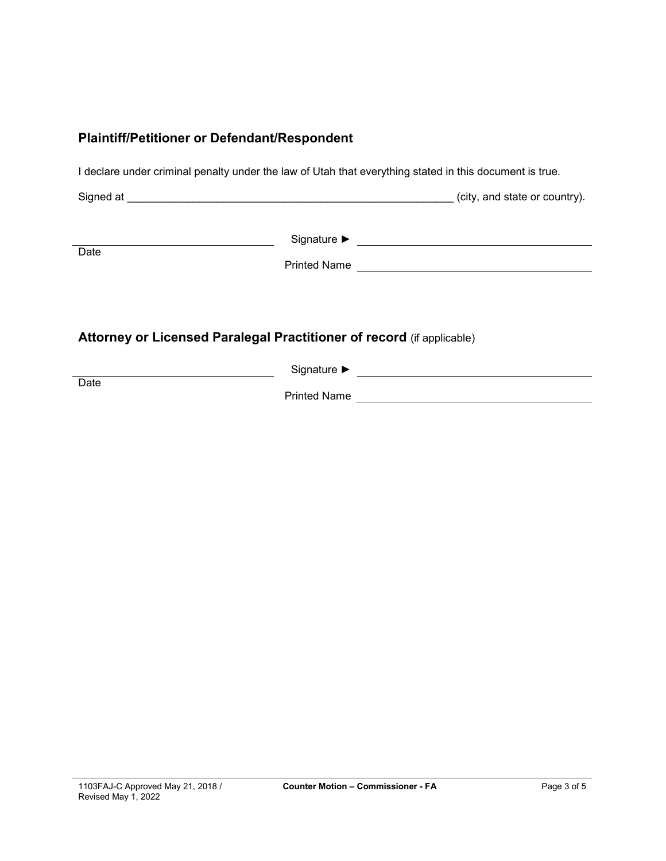### **Plaintiff/Petitioner or Defendant/Respondent**

I declare under criminal penalty under the law of Utah that everything stated in this document is true.

Signed at \_\_\_\_\_\_\_\_\_\_\_\_\_\_\_\_\_\_\_\_\_\_\_\_\_\_\_\_\_\_\_\_\_\_\_\_\_\_\_\_\_\_\_\_\_\_\_\_\_\_\_\_\_\_ (city, and state or country).

**Date** 

Signature ► Signature ► Signature → Signature → Signature → Signature → Signature → Signature → Signature → Signature → Signature → Signature → Signature → Signature → Signature → Signature → Signature → Signature → Signa

Printed Name

# **Attorney or Licensed Paralegal Practitioner of record** (if applicable)

Signature ► Letter State State State State State State State State State State State State State State State State State State State State State State State State State State State State State State State State State Stat **Date** Printed Name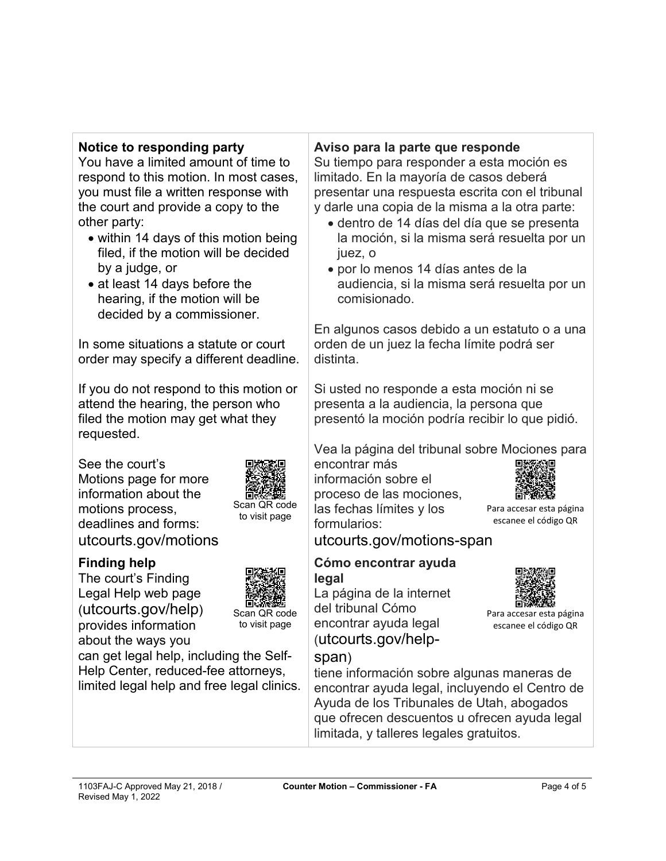## **Notice to responding party**

You have a limited amount of time to respond to this motion. In most cases, you must file a written response with the court and provide a copy to the other party:

- within 14 days of this motion being filed, if the motion will be decided by a judge, or
- at least 14 days before the hearing, if the motion will be decided by a commissioner.

In some situations a statute or court order may specify a different deadline.

If you do not respond to this motion or attend the hearing, the person who filed the motion may get what they requested.

See the court's Motions page for more information about the motions process, deadlines and forms: utcourts.gov/motions



The court's Finding Legal Help web page (utcourts.gov/help) provides information about the ways you



Scan QR code to visit page

Scan QR code to visit page

can get legal help, including the Self-Help Center, reduced-fee attorneys, limited legal help and free legal clinics.

# **Aviso para la parte que responde**

Su tiempo para responder a esta moción es limitado. En la mayoría de casos deberá presentar una respuesta escrita con el tribunal y darle una copia de la misma a la otra parte:

- dentro de 14 días del día que se presenta la moción, si la misma será resuelta por un juez, o
- por lo menos 14 días antes de la audiencia, si la misma será resuelta por un comisionado.

En algunos casos debido a un estatuto o a una orden de un juez la fecha límite podrá ser distinta.

Si usted no responde a esta moción ni se presenta a la audiencia, la persona que presentó la moción podría recibir lo que pidió.

Vea la página del tribunal sobre Mociones para

encontrar más información sobre el proceso de las mociones, las fechas límites y los formularios:



Para accesar esta página escanee el código QR

Para accesar esta página escanee el código QR

utcourts.gov/motions-span

limitada, y talleres legales gratuitos.

#### **Cómo encontrar ayuda legal**

La página de la internet del tribunal Cómo encontrar ayuda legal (utcourts.gov/help-

# span)



1103FAJ-C Approved May 21, 2018 / Revised May 1, 2022